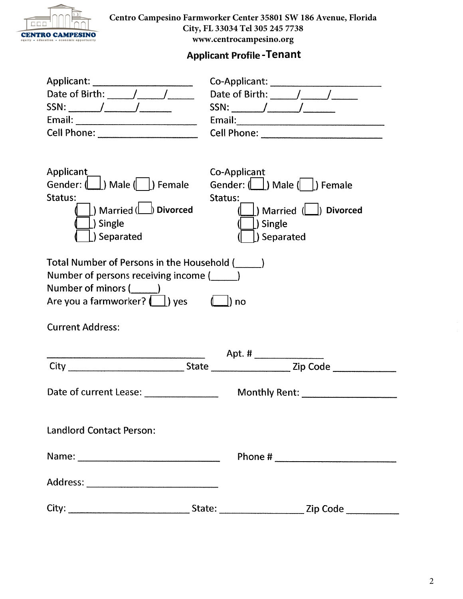

**Centro Campesino Farmworker Center 35801 SW 186 Avenue, Florida City, FL 33034 Tel 305 245 7738 www.centrocampesino.org**

### **Applicant Profile - Tenant**

| Date of Birth: $\frac{1}{\sqrt{1-\frac{1}{2}}}\frac{1}{\sqrt{1-\frac{1}{2}}\sqrt{1-\frac{1}{2}}\sqrt{1-\frac{1}{2}}\sqrt{1-\frac{1}{2}}$                                           | Date of Birth: $\_\_\_\_\_\_\_\_\_\$                                                                                                                                                                                         |  |  |  |
|------------------------------------------------------------------------------------------------------------------------------------------------------------------------------------|------------------------------------------------------------------------------------------------------------------------------------------------------------------------------------------------------------------------------|--|--|--|
|                                                                                                                                                                                    |                                                                                                                                                                                                                              |  |  |  |
|                                                                                                                                                                                    |                                                                                                                                                                                                                              |  |  |  |
|                                                                                                                                                                                    |                                                                                                                                                                                                                              |  |  |  |
| Applicant<br>Gender: (         Male (         Female<br>Status:<br>$ $ ) Married ( $\Box$ ) Divorced<br>$\Box$ ) Single<br>Separated                                               | Co-Applicant<br>Gender: $(\bigsqcup)$ Male $(\bigsqcup)$ Female<br>Status:<br>$\left(\begin{array}{c} \vert \end{array}\right)$ Married $\left(\begin{array}{c} \vert \end{array}\right)$ Divorced<br>[) Single<br>Separated |  |  |  |
| Total Number of Persons in the Household (_____)<br>Number of persons receiving income (<br>Number of minors (_______)<br>Are you a farmworker? (1) yes<br><b>Current Address:</b> |                                                                                                                                                                                                                              |  |  |  |
|                                                                                                                                                                                    |                                                                                                                                                                                                                              |  |  |  |
|                                                                                                                                                                                    |                                                                                                                                                                                                                              |  |  |  |
| Date of current Lease: ______________                                                                                                                                              |                                                                                                                                                                                                                              |  |  |  |
| <b>Landlord Contact Person:</b>                                                                                                                                                    |                                                                                                                                                                                                                              |  |  |  |
|                                                                                                                                                                                    |                                                                                                                                                                                                                              |  |  |  |
|                                                                                                                                                                                    |                                                                                                                                                                                                                              |  |  |  |
|                                                                                                                                                                                    |                                                                                                                                                                                                                              |  |  |  |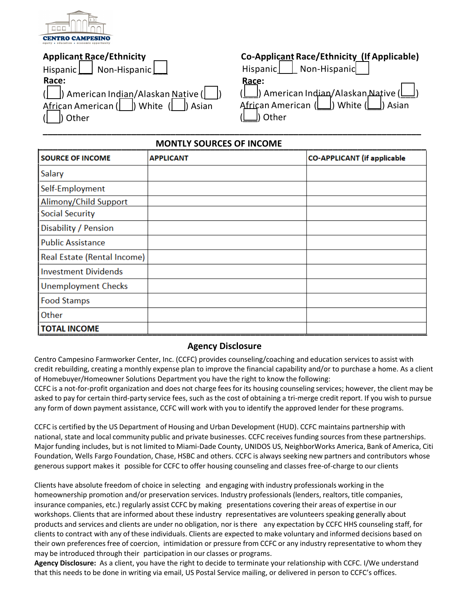

### **Applicant Race/Ethnicity**

|                                                                                            |  | Hispanic   Non-Hispanic |  |  |
|--------------------------------------------------------------------------------------------|--|-------------------------|--|--|
| Race:                                                                                      |  |                         |  |  |
| (         American Indian/Alaskan Native (        <br>African American ( ) White ( ) Asian |  |                         |  |  |
|                                                                                            |  |                         |  |  |
| $\left  \right $ b Other                                                                   |  |                         |  |  |

# **Co-Applicant Race/Ethnicity (If Applicable)**

|                                 | Hispanic   Non-Hispanic |
|---------------------------------|-------------------------|
| Race:                           |                         |
|                                 |                         |
|                                 |                         |
| $\lfloor \square \rfloor$ Other |                         |

#### **MONTLY SOURCES OF INCOME**

**\_\_\_\_\_\_\_\_\_\_\_\_\_\_\_\_\_\_\_\_\_\_\_\_\_\_\_\_\_\_\_\_\_\_\_\_\_\_\_\_\_\_\_\_\_\_\_\_\_\_\_\_\_\_\_\_\_\_\_\_\_\_\_\_\_\_\_\_\_\_\_\_\_\_\_\_\_**

| <b>SOURCE OF INCOME</b>     | <b>APPLICANT</b> | <b>CO-APPLICANT</b> (if applicable |
|-----------------------------|------------------|------------------------------------|
| Salary                      |                  |                                    |
| Self-Employment             |                  |                                    |
| Alimony/Child Support       |                  |                                    |
| <b>Social Security</b>      |                  |                                    |
| Disability / Pension        |                  |                                    |
| <b>Public Assistance</b>    |                  |                                    |
| Real Estate (Rental Income) |                  |                                    |
| <b>Investment Dividends</b> |                  |                                    |
| <b>Unemployment Checks</b>  |                  |                                    |
| <b>Food Stamps</b>          |                  |                                    |
| Other                       |                  |                                    |
| <b>TOTAL INCOME</b>         |                  |                                    |

### **Agency Disclosure**

Centro Campesino Farmworker Center, Inc. (CCFC) provides counseling/coaching and education services to assist with credit rebuilding, creating a monthly expense plan to improve the financial capability and/or to purchase a home. As a client of Homebuyer/Homeowner Solutions Department you have the right to know the following:

CCFC is a not-for-profit organization and does not charge feesfor its housing counseling services; however, the client may be asked to pay for certain third-party service fees, such as the cost of obtaining a tri-merge credit report. If you wish to pursue any form of down payment assistance, CCFC will work with you to identify the approved lender for these programs.

CCFC is certified by the US Department of Housing and Urban Development (HUD). CCFC maintains partnership with national, state and local community public and private businesses. CCFC receives funding sources from these partnerships. Major funding includes, but is not limited to Miami-Dade County, UNIDOS US, NeighborWorks America, Bank of America, Citi Foundation, Wells Fargo Foundation, Chase, HSBC and others. CCFC is always seeking new partners and contributors whose generous support makes it possible for CCFC to offer housing counseling and classes free-of-charge to our clients

Clients have absolute freedom of choice in selecting and engaging with industry professionals working in the homeownership promotion and/or preservation services. Industry professionals (lenders, realtors, title companies, insurance companies, etc.) regularly assist CCFC by making presentations covering their areas of expertise in our workshops. Clients that are informed about these industry representatives are volunteers speaking generally about products and services and clients are under no obligation, nor isthere any expectation by CCFC HHS counseling staff, for clients to contract with any of these individuals. Clients are expected to make voluntary and informed decisions based on their own preferences free of coercion, intimidation or pressure from CCFC or any industry representative to whom they may be introduced through their participation in our classes or programs.

**Agency Disclosure:** As a client, you have the right to decide to terminate your relationship with CCFC. I/We understand that this needs to be done in writing via email, US Postal Service mailing, or delivered in person to CCFC's offices.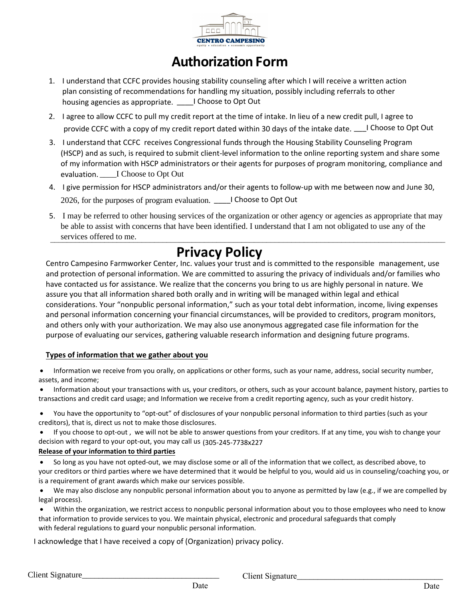

# **Authorization Form**

- 1. I understand that CCFC provides housing stability counseling after which I will receive a written action plan consisting of recommendations for handling my situation, possibly including referrals to other housing agencies as appropriate. \_\_\_\_I Choose to Opt Out
- provide CCFC with a copy of my credit report dated within 30 days of the intake date. \_\_\_I Choose to Opt Out 2. I agree to allow CCFC to pull my credit report at the time of intake. In lieu of a new credit pull, I agree to
- 3. I understand that CCFC receives Congressional funds through the Housing Stability Counseling Program (HSCP) and as such, is required to submit client-level information to the online reporting system and share some of my information with HSCP administrators or their agents for purposes of program monitoring, compliance and evaluation. \_\_\_\_I Choose to Opt Out
- 4. I give permission for HSCP administrators and/or their agents to follow-up with me between now and June 30, 2026, for the purposes of program evaluation. \_\_\_\_I Choose to Opt Out
- 5. I may be referred to other housing services of the organization or other agency or agencies as appropriate that may be able to assist with concerns that have been identified. I understand that I am not obligated to use any of the services offered to me.

# **Privacy Policy**

Centro Campesino Farmworker Center, Inc. values your trust and is committed to the responsible management, use and protection of personal information. We are committed to assuring the privacy of individuals and/or families who have contacted us for assistance. We realize that the concerns you bring to us are highly personal in nature. We assure you that all information shared both orally and in writing will be managed within legal and ethical considerations. Your "nonpublic personal information," such as your total debt information, income, living expenses and personal information concerning your financial circumstances, will be provided to creditors, program monitors, and others only with your authorization. We may also use anonymous aggregated case file information for the purpose of evaluating our services, gathering valuable research information and designing future programs.

### **Types of information that we gather about you**

 Information we receive from you orally, on applications or other forms, such as your name, address, social security number, assets, and income;

 Information about your transactions with us, your creditors, or others, such as your account balance, payment history, parties to transactions and credit card usage; and Information we receive from a credit reporting agency, such as your credit history.

- You have the opportunity to "opt-out" of disclosures of your nonpublic personal information to third parties (such as your creditors), that is, direct us not to make those disclosures.
- If you choose to opt-out , we will not be able to answer questions from your creditors. If at any time, you wish to change your decision with regard to your opt-out, you may call us (305-245-7738x227

#### **Release of your information to third parties**

- So long as you have not opted-out, we may disclose some or all of the information that we collect, as described above, to your creditors or third parties where we have determined that it would be helpful to you, would aid us in counseling/coaching you, or is a requirement of grant awards which make our services possible.
- We may also disclose any nonpublic personal information about you to anyone as permitted by law (e.g., if we are compelled by legal process).
- Within the organization, we restrict access to nonpublic personal information about you to those employees who need to know that information to provide services to you. We maintain physical, electronic and procedural safeguards that comply with federal regulations to guard your nonpublic personal information.

I acknowledge that I have received a copy of (Organization) privacy policy.

Client Signature\_\_\_\_\_\_\_\_\_\_\_\_\_\_\_\_\_\_\_\_\_\_\_\_\_\_\_\_\_\_\_\_\_ Client Signature\_\_\_\_\_\_\_\_\_\_\_\_\_\_\_\_\_\_\_\_\_\_\_\_\_\_\_\_\_\_\_\_\_\_\_